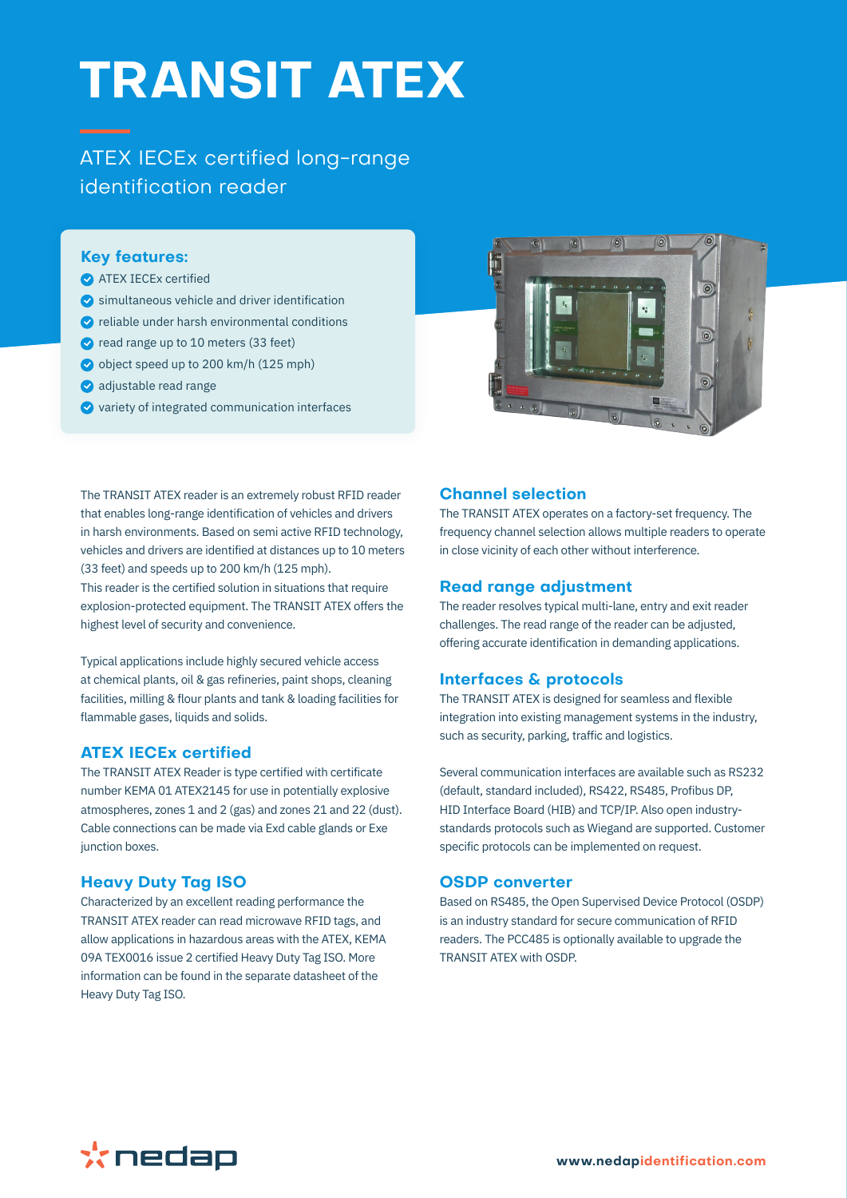# **TRANSIT ATEX**

ATEX IECEx certified long-range identification reader

## **Key features:**

- **ATEX IECEX certified**
- $\bullet$  simultaneous vehicle and driver identification
- $\bullet$  reliable under harsh environmental conditions
- read range up to 10 meters (33 feet)
- object speed up to 200 km/h (125 mph)
- adjustable read range
- $\bullet$  variety of integrated communication interfaces



The TRANSIT ATEX reader is an extremely robust RFID reader that enables long-range identification of vehicles and drivers in harsh environments. Based on semi active RFID technology, vehicles and drivers are identified at distances up to 10 meters (33 feet) and speeds up to 200 km/h (125 mph).

This reader is the certified solution in situations that require explosion-protected equipment. The TRANSIT ATEX offers the highest level of security and convenience.

Typical applications include highly secured vehicle access at chemical plants, oil & gas refineries, paint shops, cleaning facilities, milling & flour plants and tank & loading facilities for flammable gases, liquids and solids.

### **ATEX IECEx certified**

The TRANSIT ATEX Reader is type certified with certificate number KEMA 01 ATEX2145 for use in potentially explosive atmospheres, zones 1 and 2 (gas) and zones 21 and 22 (dust). Cable connections can be made via Exd cable glands or Exe junction boxes.

## **Heavy Duty Tag ISO**

Characterized by an excellent reading performance the TRANSIT ATEX reader can read microwave RFID tags, and allow applications in hazardous areas with the ATEX, KEMA 09A TEX0016 issue 2 certified Heavy Duty Tag ISO. More information can be found in the separate datasheet of the Heavy Duty Tag ISO.

## **Channel selection**

The TRANSIT ATEX operates on a factory-set frequency. The frequency channel selection allows multiple readers to operate in close vicinity of each other without interference.

## **Read range adjustment**

The reader resolves typical multi-lane, entry and exit reader challenges. The read range of the reader can be adjusted, offering accurate identification in demanding applications.

### **Interfaces & protocols**

The TRANSIT ATEX is designed for seamless and flexible integration into existing management systems in the industry, such as security, parking, traffic and logistics.

Several communication interfaces are available such as RS232 (default, standard included), RS422, RS485, Profibus DP, HID Interface Board (HIB) and TCP/IP. Also open industrystandards protocols such as Wiegand are supported. Customer specific protocols can be implemented on request.

### **OSDP converter**

Based on RS485, the Open Supervised Device Protocol (OSDP) is an industry standard for secure communication of RFID readers. The PCC485 is optionally available to upgrade the TRANSIT ATEX with OSDP.